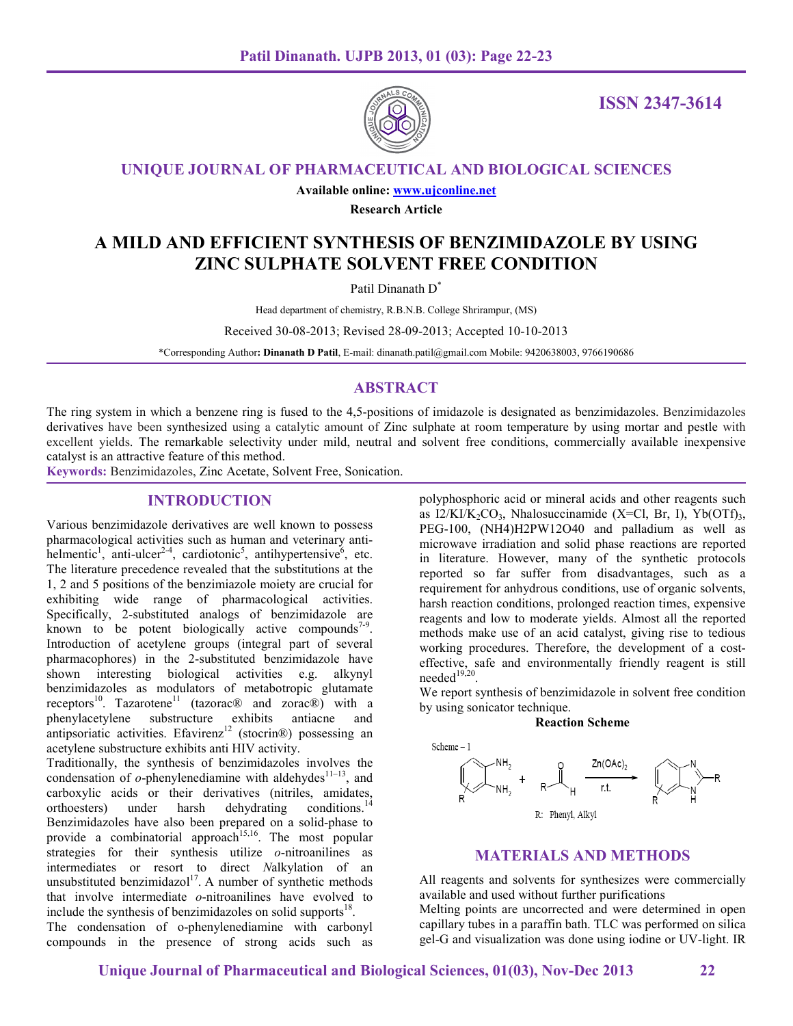

**ISSN 2347-3614**

**UNIQUE JOURNAL OF PHARMACEUTICAL AND BIOLOGICAL SCIENCES**

**Available online: www.ujconline.net**

**Research Article** 

# **A MILD AND EFFICIENT SYNTHESIS OF BENZIMIDAZOLE BY USING ZINC SULPHATE SOLVENT FREE CONDITION**

Patil Dinanath D<sup>\*</sup>

Head department of chemistry, R.B.N.B. College Shrirampur, (MS)

Received 30-08-2013; Revised 28-09-2013; Accepted 10-10-2013

\*Corresponding Author**: Dinanath D Patil**, E-mail: dinanath.patil@gmail.com Mobile: 9420638003, 9766190686

# **ABSTRACT**

The ring system in which a benzene ring is fused to the 4,5-positions of imidazole is designated as benzimidazoles. Benzimidazoles derivatives have been synthesized using a catalytic amount of Zinc sulphate at room temperature by using mortar and pestle with excellent yields. The remarkable selectivity under mild, neutral and solvent free conditions, commercially available inexpensive catalyst is an attractive feature of this method.

**Keywords:** Benzimidazoles, Zinc Acetate, Solvent Free, Sonication.

## **INTRODUCTION**

Various benzimidazole derivatives are well known to possess pharmacological activities such as human and veterinary antihelmentic<sup>1</sup>, anti-ulcer<sup>2-4</sup>, cardiotonic<sup>5</sup>, antihypertensive<sup>6</sup>, etc. The literature precedence revealed that the substitutions at the 1, 2 and 5 positions of the benzimiazole moiety are crucial for exhibiting wide range of pharmacological activities. Specifically, 2-substituted analogs of benzimidazole are known to be potent biologically active compounds<sup>7-9</sup>. Introduction of acetylene groups (integral part of several pharmacophores) in the 2-substituted benzimidazole have shown interesting biological activities e.g. alkynyl benzimidazoles as modulators of metabotropic glutamate receptors<sup>10</sup>. Tazarotene<sup>11</sup> (tazorac<sup>®</sup> and zorac<sup>®</sup>) with a phenylacetylene substructure exhibits antiacne and antipsoriatic activities. Efavirenz<sup>12</sup> (stocrin®) possessing an acetylene substructure exhibits anti HIV activity.

Traditionally, the synthesis of benzimidazoles involves the condensation of  $o$ -phenylenediamine with aldehydes<sup>11–13</sup>, and carboxylic acids or their derivatives (nitriles, amidates, orthoesters) under harsh dehydrating conditions.<sup>14</sup> Benzimidazoles have also been prepared on a solid-phase to provide a combinatorial approach<sup>15,16</sup>. The most popular strategies for their synthesis utilize *o*-nitroanilines as intermediates or resort to direct *N*alkylation of an unsubstituted benzimidazol $17$ . A number of synthetic methods that involve intermediate *o*-nitroanilines have evolved to include the synthesis of benzimidazoles on solid supports<sup>18</sup>.

The condensation of o-phenylenediamine with carbonyl compounds in the presence of strong acids such as polyphosphoric acid or mineral acids and other reagents such as  $I2/KI/K_2CO_3$ , Nhalosuccinamide (X=Cl, Br, I), Yb(OTf)<sub>3</sub>, PEG-100, (NH4)H2PW12O40 and palladium as well as microwave irradiation and solid phase reactions are reported in literature. However, many of the synthetic protocols reported so far suffer from disadvantages, such as a requirement for anhydrous conditions, use of organic solvents, harsh reaction conditions, prolonged reaction times, expensive reagents and low to moderate yields. Almost all the reported methods make use of an acid catalyst, giving rise to tedious working procedures. Therefore, the development of a costeffective, safe and environmentally friendly reagent is still  $needed<sup>19,20</sup>$ .

We report synthesis of benzimidazole in solvent free condition by using sonicator technique.

**Reaction Scheme** 



# **MATERIALS AND METHODS**

All reagents and solvents for synthesizes were commercially available and used without further purifications Melting points are uncorrected and were determined in open

capillary tubes in a paraffin bath. TLC was performed on silica gel-G and visualization was done using iodine or UV-light. IR